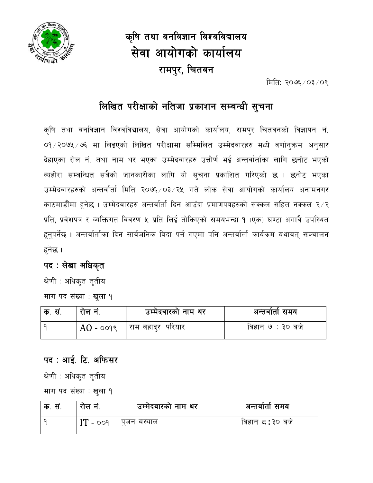

# कृषि तथा वनविज्ञान विश्वविद्यालय सेवा आयोगको कार्यालय रामपुर, चितवन

मिति: २०७६/०३/०९

### लिखित परीक्षाको नतिजा प्रकाशन सम्बन्धी सुचना

कृषि तथा वनविज्ञान विश्वविद्यालय, सेवा आयोगको कार्यालय, रामपुर चितवनको विज्ञापन नं. ०१/२०७५/७६ मा लिइएको लिखित परीक्षामा सम्मिलित उम्मेदवारहरु मध्ये वर्णान्ऋम अनुसार देहाएका रोल नं. तथा नाम थर भएका उम्मेदवारहरु उत्तीर्ण भई अन्तर्वार्ताका लागि छनोट भएको व्यहोरा सम्बन्धित सबैको जानकारीका लागि यो सूचना प्रकाशित गरिएको छ । छनोट भएका उम्मेदवारहरुको अन्तर्वार्ता मिति २०७६ ⁄ ०३ ⁄ २५ गते लोक सेवा आयोगको कार्यालय अनामनगर काठमाडौंमा हुनेछ । उम्मेदवारहरु अन्तर्वार्ता दिन आउँदा प्रमाणपत्रहरुको सक्कल सहित नक्कल २/२ प्रति, प्रवेशपत्र र व्यक्तिगत विवरण ५ प्रति लिई तोकिएको समयभन्दा १ (एक) घण्टा अगावै उपस्थित हुनुपर्नेछ । अन्तर्वार्ताका दिन सार्वजनिक बिदा पर्न गएमा पनि अन्तर्वार्ता कार्यक्रम यथावत् सञ्चालन हनेछ ।

#### पद : लेखा अधिकृत

श्रेणी : अधिकृत तृतीय माग पद संख्या : खुला १

| ूक. सं. | राल न.   | उम्मेदवारको नाम थर   | अन्तवाता समय     |
|---------|----------|----------------------|------------------|
|         | $AO - o$ | । राम बहादुर  परियार | बिहान ७ : ३० बजे |

#### पद : आई. टि. अफिसर

श्रेणी : अधिकृत तृतीय

माग पद संख्या : खुला १

| क. सं. | राल न      | उम्मेदवारको नाम थर | अन्तर्वातो समय |
|--------|------------|--------------------|----------------|
|        | $IT - ooq$ | पजन बस्याल         | बिहान ८:३० बजे |